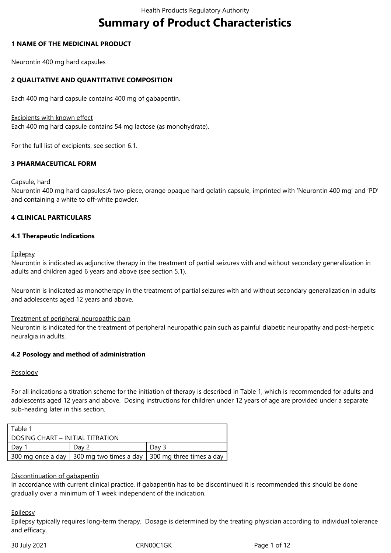# **Summary of Product Characteristics**

#### **1 NAME OF THE MEDICINAL PRODUCT**

Neurontin 400 mg hard capsules

## **2 QUALITATIVE AND QUANTITATIVE COMPOSITION**

Each 400 mg hard capsule contains 400 mg of gabapentin.

#### Excipients with known effect

Each 400 mg hard capsule contains 54 mg lactose (as monohydrate).

For the full list of excipients, see section 6.1.

# **3 PHARMACEUTICAL FORM**

#### Capsule, hard

Neurontin 400 mg hard capsules:A two-piece, orange opaque hard gelatin capsule, imprinted with 'Neurontin 400 mg' and 'PD' and containing a white to off-white powder.

#### **4 CLINICAL PARTICULARS**

#### **4.1 Therapeutic Indications**

#### **Epilepsy**

Neurontin is indicated as adjunctive therapy in the treatment of partial seizures with and without secondary generalization in adults and children aged 6 years and above (see section 5.1).

Neurontin is indicated as monotherapy in the treatment of partial seizures with and without secondary generalization in adults and adolescents aged 12 years and above.

#### Treatment of peripheral neuropathic pain

Neurontin is indicated for the treatment of peripheral neuropathic pain such as painful diabetic neuropathy and post-herpetic neuralgia in adults.

#### **4.2 Posology and method of administration**

#### Posology

For all indications a titration scheme for the initiation of therapy is described in Table 1, which is recommended for adults and adolescents aged 12 years and above. Dosing instructions for children under 12 years of age are provided under a separate sub-heading later in this section.

| Table 1                          |       |                                                                       |  |  |
|----------------------------------|-------|-----------------------------------------------------------------------|--|--|
| DOSING CHART – INITIAL TITRATION |       |                                                                       |  |  |
| Day "                            | Dav 2 | Day 3                                                                 |  |  |
|                                  |       | 300 mg once a day   300 mg two times a day   300 mg three times a day |  |  |

#### Discontinuation of gabapentin

In accordance with current clinical practice, if gabapentin has to be discontinued it is recommended this should be done gradually over a minimum of 1 week independent of the indication.

#### **Epilepsy**

Epilepsy typically requires long-term therapy. Dosage is determined by the treating physician according to individual tolerance and efficacy.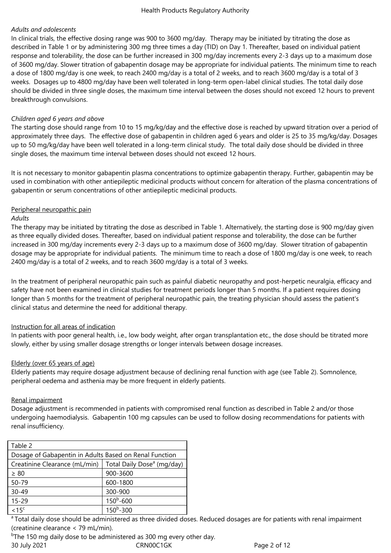# *Adults and adolescents*

In clinical trials, the effective dosing range was 900 to 3600 mg/day. Therapy may be initiated by titrating the dose as described in Table 1 or by administering 300 mg three times a day (TID) on Day 1. Thereafter, based on individual patient response and tolerability, the dose can be further increased in 300 mg/day increments every 2-3 days up to a maximum dose of 3600 mg/day. Slower titration of gabapentin dosage may be appropriate for individual patients. The minimum time to reach a dose of 1800 mg/day is one week, to reach 2400 mg/day is a total of 2 weeks, and to reach 3600 mg/day is a total of 3 weeks. Dosages up to 4800 mg/day have been well tolerated in long-term open-label clinical studies. The total daily dose should be divided in three single doses, the maximum time interval between the doses should not exceed 12 hours to prevent breakthrough convulsions.

#### *Children aged 6 years and above*

The starting dose should range from 10 to 15 mg/kg/day and the effective dose is reached by upward titration over a period of approximately three days. The effective dose of gabapentin in children aged 6 years and older is 25 to 35 mg/kg/day. Dosages up to 50 mg/kg/day have been well tolerated in a long-term clinical study. The total daily dose should be divided in three single doses, the maximum time interval between doses should not exceed 12 hours.

It is not necessary to monitor gabapentin plasma concentrations to optimize gabapentin therapy. Further, gabapentin may be used in combination with other antiepileptic medicinal products without concern for alteration of the plasma concentrations of gabapentin or serum concentrations of other antiepileptic medicinal products.

#### Peripheral neuropathic pain

#### *Adults*

The therapy may be initiated by titrating the dose as described in Table 1. Alternatively, the starting dose is 900 mg/day given as three equally divided doses. Thereafter, based on individual patient response and tolerability, the dose can be further increased in 300 mg/day increments every 2-3 days up to a maximum dose of 3600 mg/day. Slower titration of gabapentin dosage may be appropriate for individual patients. The minimum time to reach a dose of 1800 mg/day is one week, to reach 2400 mg/day is a total of 2 weeks, and to reach 3600 mg/day is a total of 3 weeks.

In the treatment of peripheral neuropathic pain such as painful diabetic neuropathy and post-herpetic neuralgia, efficacy and safety have not been examined in clinical studies for treatment periods longer than 5 months. If a patient requires dosing longer than 5 months for the treatment of peripheral neuropathic pain, the treating physician should assess the patient's clinical status and determine the need for additional therapy.

#### Instruction for all areas of indication

In patients with poor general health, i.e., low body weight, after organ transplantation etc., the dose should be titrated more slowly, either by using smaller dosage strengths or longer intervals between dosage increases.

#### Elderly (over 65 years of age)

Elderly patients may require dosage adjustment because of declining renal function with age (see Table 2). Somnolence, peripheral oedema and asthenia may be more frequent in elderly patients.

#### Renal impairment

Dosage adjustment is recommended in patients with compromised renal function as described in Table 2 and/or those undergoing haemodialysis. Gabapentin 100 mg capsules can be used to follow dosing recommendations for patients with renal insufficiency.

| Table 2                                                |                                        |  |  |
|--------------------------------------------------------|----------------------------------------|--|--|
| Dosage of Gabapentin in Adults Based on Renal Function |                                        |  |  |
| Creatinine Clearance (mL/min)                          | Total Daily Dose <sup>a</sup> (mg/day) |  |  |
| $\geq 80$                                              | 900-3600                               |  |  |
| $50 - 79$                                              | 600-1800                               |  |  |
| $30 - 49$                                              | 300-900                                |  |  |
| $15 - 29$                                              | $150^b - 600$                          |  |  |
| $< 15$ <sup>c</sup>                                    | $150^b - 300$                          |  |  |

<sup>a</sup> Total daily dose should be administered as three divided doses. Reduced dosages are for patients with renal impairment (creatinine clearance < 79 mL/min).

30 July 2021 CRN00C1GK Page 2 of 12 <sup>b</sup>The 150 mg daily dose to be administered as 300 mg every other day.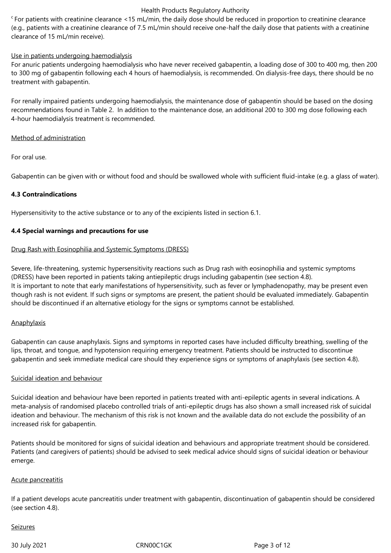$c_F$  For patients with creatinine clearance <15 mL/min, the daily dose should be reduced in proportion to creatinine clearance (e.g., patients with a creatinine clearance of 7.5 mL/min should receive one-half the daily dose that patients with a creatinine clearance of 15 mL/min receive).

#### Use in patients undergoing haemodialysis

For anuric patients undergoing haemodialysis who have never received gabapentin, a loading dose of 300 to 400 mg, then 200 to 300 mg of gabapentin following each 4 hours of haemodialysis, is recommended. On dialysis-free days, there should be no treatment with gabapentin.

For renally impaired patients undergoing haemodialysis, the maintenance dose of gabapentin should be based on the dosing recommendations found in Table 2. In addition to the maintenance dose, an additional 200 to 300 mg dose following each 4-hour haemodialysis treatment is recommended.

#### Method of administration

For oral use.

Gabapentin can be given with or without food and should be swallowed whole with sufficient fluid-intake (e.g. a glass of water).

#### **4.3 Contraindications**

Hypersensitivity to the active substance or to any of the excipients listed in section 6.1.

#### **4.4 Special warnings and precautions for use**

#### Drug Rash with Eosinophilia and Systemic Symptoms (DRESS)

Severe, life-threatening, systemic hypersensitivity reactions such as Drug rash with eosinophilia and systemic symptoms (DRESS) have been reported in patients taking antiepileptic drugs including gabapentin (see section 4.8). It is important to note that early manifestations of hypersensitivity, such as fever or lymphadenopathy, may be present even though rash is not evident. If such signs or symptoms are present, the patient should be evaluated immediately. Gabapentin should be discontinued if an alternative etiology for the signs or symptoms cannot be established.

#### **Anaphylaxis**

Gabapentin can cause anaphylaxis. Signs and symptoms in reported cases have included difficulty breathing, swelling of the lips, throat, and tongue, and hypotension requiring emergency treatment. Patients should be instructed to discontinue gabapentin and seek immediate medical care should they experience signs or symptoms of anaphylaxis (see section 4.8).

#### Suicidal ideation and behaviour

Suicidal ideation and behaviour have been reported in patients treated with anti-epileptic agents in several indications. A meta-analysis of randomised placebo controlled trials of anti-epileptic drugs has also shown a small increased risk of suicidal ideation and behaviour. The mechanism of this risk is not known and the available data do not exclude the possibility of an increased risk for gabapentin.

Patients should be monitored for signs of suicidal ideation and behaviours and appropriate treatment should be considered. Patients (and caregivers of patients) should be advised to seek medical advice should signs of suicidal ideation or behaviour emerge.

#### Acute pancreatitis

If a patient develops acute pancreatitis under treatment with gabapentin, discontinuation of gabapentin should be considered (see section 4.8).

#### Seizures

30 July 2021 CRN00C1GK Page 3 of 12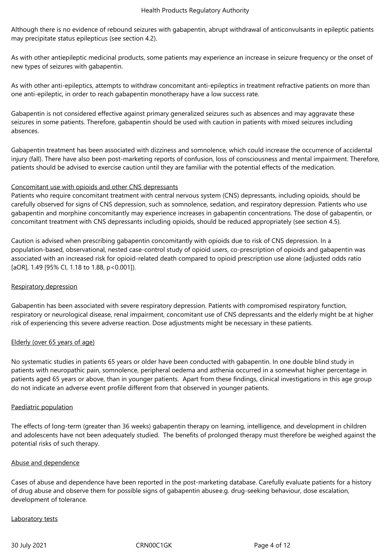Although there is no evidence of rebound seizures with gabapentin, abrupt withdrawal of anticonvulsants in epileptic patients may precipitate status epilepticus (see section 4.2).

As with other antiepileptic medicinal products, some patients may experience an increase in seizure frequency or the onset of new types of seizures with gabapentin.

As with other anti-epileptics, attempts to withdraw concomitant anti-epileptics in treatment refractive patients on more than one anti-epileptic, in order to reach gabapentin monotherapy have a low success rate.

Gabapentin is not considered effective against primary generalized seizures such as absences and may aggravate these seizures in some patients. Therefore, gabapentin should be used with caution in patients with mixed seizures including absences.

Gabapentin treatment has been associated with dizziness and somnolence, which could increase the occurrence of accidental injury (fall). There have also been post-marketing reports of confusion, loss of consciousness and mental impairment. Therefore, patients should be advised to exercise caution until they are familiar with the potential effects of the medication.

#### Concomitant use with opioids and other CNS depressants

Patients who require concomitant treatment with central nervous system (CNS) depressants, including opioids, should be carefully observed for signs of CNS depression, such as somnolence, sedation, and respiratory depression. Patients who use gabapentin and morphine concomitantly may experience increases in gabapentin concentrations. The dose of gabapentin, or concomitant treatment with CNS depressants including opioids, should be reduced appropriately (see section 4.5).

Caution is advised when prescribing gabapentin concomitantly with opioids due to risk of CNS depression. In a population-based, observational, nested case-control study of opioid users, co‑prescription of opioids and gabapentin was associated with an increased risk for opioid-related death compared to opioid prescription use alone (adjusted odds ratio [aOR], 1.49 [95% CI, 1.18 to 1.88, p<0.001]).

#### Respiratory depression

Gabapentin has been associated with severe respiratory depression. Patients with compromised respiratory function, respiratory or neurological disease, renal impairment, concomitant use of CNS depressants and the elderly might be at higher risk of experiencing this severe adverse reaction. Dose adjustments might be necessary in these patients.

# Elderly (over 65 years of age)

No systematic studies in patients 65 years or older have been conducted with gabapentin. In one double blind study in patients with neuropathic pain, somnolence, peripheral oedema and asthenia occurred in a somewhat higher percentage in patients aged 65 years or above, than in younger patients. Apart from these findings, clinical investigations in this age group do not indicate an adverse event profile different from that observed in younger patients.

#### Paediatric population

The effects of long-term (greater than 36 weeks) gabapentin therapy on learning, intelligence, and development in children and adolescents have not been adequately studied. The benefits of prolonged therapy must therefore be weighed against the potential risks of such therapy.

#### Abuse and dependence

Cases of abuse and dependence have been reported in the post-marketing database. Carefully evaluate patients for a history of drug abuse and observe them for possible signs of gabapentin abusee.g. drug-seeking behaviour, dose escalation, development of tolerance.

#### Laboratory tests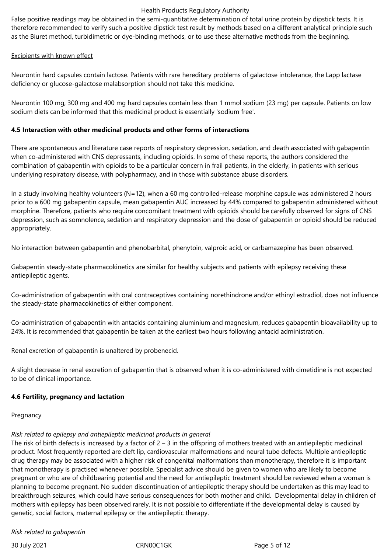False positive readings may be obtained in the semi-quantitative determination of total urine protein by dipstick tests. It is therefore recommended to verify such a positive dipstick test result by methods based on a different analytical principle such as the Biuret method, turbidimetric or dye-binding methods, or to use these alternative methods from the beginning.

#### Excipients with known effect

Neurontin hard capsules contain lactose. Patients with rare hereditary problems of galactose intolerance, the Lapp lactase deficiency or glucose-galactose malabsorption should not take this medicine.

Neurontin 100 mg, 300 mg and 400 mg hard capsules contain less than 1 mmol sodium (23 mg) per capsule. Patients on low sodium diets can be informed that this medicinal product is essentially 'sodium free'.

#### **4.5 Interaction with other medicinal products and other forms of interactions**

There are spontaneous and literature case reports of respiratory depression, sedation, and death associated with gabapentin when co-administered with CNS depressants, including opioids. In some of these reports, the authors considered the combination of gabapentin with opioids to be a particular concern in frail patients, in the elderly, in patients with serious underlying respiratory disease, with polypharmacy, and in those with substance abuse disorders.

In a study involving healthy volunteers (N=12), when a 60 mg controlled-release morphine capsule was administered 2 hours prior to a 600 mg gabapentin capsule, mean gabapentin AUC increased by 44% compared to gabapentin administered without morphine. Therefore, patients who require concomitant treatment with opioids should be carefully observed for signs of CNS depression, such as somnolence, sedation and respiratory depression and the dose of gabapentin or opioid should be reduced appropriately.

No interaction between gabapentin and phenobarbital, phenytoin, valproic acid, or carbamazepine has been observed.

Gabapentin steady-state pharmacokinetics are similar for healthy subjects and patients with epilepsy receiving these antiepileptic agents.

Co-administration of gabapentin with oral contraceptives containing norethindrone and/or ethinyl estradiol, does not influence the steady-state pharmacokinetics of either component.

Co-administration of gabapentin with antacids containing aluminium and magnesium, reduces gabapentin bioavailability up to 24%. It is recommended that gabapentin be taken at the earliest two hours following antacid administration.

Renal excretion of gabapentin is unaltered by probenecid.

A slight decrease in renal excretion of gabapentin that is observed when it is co-administered with cimetidine is not expected to be of clinical importance.

# **4.6 Fertility, pregnancy and lactation**

#### **Pregnancy**

# *Risk related to epilepsy and antiepileptic medicinal products in general*

The risk of birth defects is increased by a factor of  $2 - 3$  in the offspring of mothers treated with an antiepileptic medicinal product. Most frequently reported are cleft lip, cardiovascular malformations and neural tube defects. Multiple antiepileptic drug therapy may be associated with a higher risk of congenital malformations than monotherapy, therefore it is important that monotherapy is practised whenever possible. Specialist advice should be given to women who are likely to become pregnant or who are of childbearing potential and the need for antiepileptic treatment should be reviewed when a woman is planning to become pregnant. No sudden discontinuation of antiepileptic therapy should be undertaken as this may lead to breakthrough seizures, which could have serious consequences for both mother and child. Developmental delay in children of mothers with epilepsy has been observed rarely. It is not possible to differentiate if the developmental delay is caused by genetic, social factors, maternal epilepsy or the antiepileptic therapy.

#### *Risk related to gabapentin*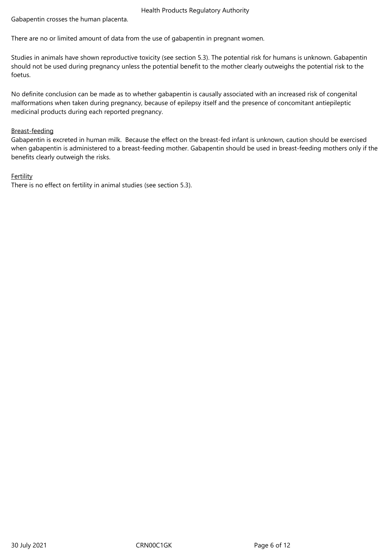Gabapentin crosses the human placenta.

There are no or limited amount of data from the use of gabapentin in pregnant women.

Studies in animals have shown reproductive toxicity (see section 5.3). The potential risk for humans is unknown. Gabapentin should not be used during pregnancy unless the potential benefit to the mother clearly outweighs the potential risk to the foetus.

No definite conclusion can be made as to whether gabapentin is causally associated with an increased risk of congenital malformations when taken during pregnancy, because of epilepsy itself and the presence of concomitant antiepileptic medicinal products during each reported pregnancy.

#### Breast-feeding

Gabapentin is excreted in human milk. Because the effect on the breast-fed infant is unknown, caution should be exercised when gabapentin is administered to a breast-feeding mother. Gabapentin should be used in breast-feeding mothers only if the benefits clearly outweigh the risks.

# Fertility

There is no effect on fertility in animal studies (see section 5.3).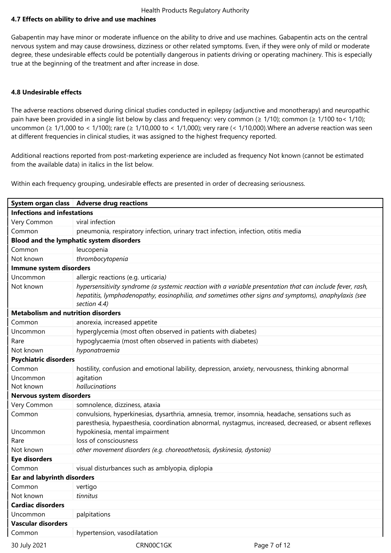#### **4.7 Effects on ability to drive and use machines**

Gabapentin may have minor or moderate influence on the ability to drive and use machines. Gabapentin acts on the central nervous system and may cause drowsiness, dizziness or other related symptoms. Even, if they were only of mild or moderate degree, these undesirable effects could be potentially dangerous in patients driving or operating machinery. This is especially true at the beginning of the treatment and after increase in dose.

#### **4.8 Undesirable effects**

The adverse reactions observed during clinical studies conducted in epilepsy (adjunctive and monotherapy) and neuropathic pain have been provided in a single list below by class and frequency: very common (≥ 1/10); common (≥ 1/100 to < 1/10); uncommon (≥ 1/1,000 to < 1/100); rare (≥ 1/10,000 to < 1/1,000); very rare (< 1/10,000).Where an adverse reaction was seen at different frequencies in clinical studies, it was assigned to the highest frequency reported.

Additional reactions reported from post-marketing experience are included as frequency Not known (cannot be estimated from the available data) in italics in the list below.

Within each frequency grouping, undesirable effects are presented in order of decreasing seriousness.

|                                           | System organ class   Adverse drug reactions                                                                                                                                                                                                |  |  |
|-------------------------------------------|--------------------------------------------------------------------------------------------------------------------------------------------------------------------------------------------------------------------------------------------|--|--|
| <b>Infections and infestations</b>        |                                                                                                                                                                                                                                            |  |  |
| Very Common                               | viral infection                                                                                                                                                                                                                            |  |  |
| Common                                    | pneumonia, respiratory infection, urinary tract infection, infection, otitis media                                                                                                                                                         |  |  |
|                                           | Blood and the lymphatic system disorders                                                                                                                                                                                                   |  |  |
| Common                                    | leucopenia                                                                                                                                                                                                                                 |  |  |
| Not known                                 | thrombocytopenia                                                                                                                                                                                                                           |  |  |
| Immune system disorders                   |                                                                                                                                                                                                                                            |  |  |
| Uncommon                                  | allergic reactions (e.g. urticaria)                                                                                                                                                                                                        |  |  |
| Not known                                 | hypersensitivity syndrome (a systemic reaction with a variable presentation that can include fever, rash,<br>hepatitis, lymphadenopathy, eosinophilia, and sometimes other signs and symptoms), anaphylaxis (see<br>section 4.4)           |  |  |
| <b>Metabolism and nutrition disorders</b> |                                                                                                                                                                                                                                            |  |  |
| Common                                    | anorexia, increased appetite                                                                                                                                                                                                               |  |  |
| Uncommon                                  | hyperglycemia (most often observed in patients with diabetes)                                                                                                                                                                              |  |  |
| Rare                                      | hypoglycaemia (most often observed in patients with diabetes)                                                                                                                                                                              |  |  |
| Not known                                 | hyponatraemia                                                                                                                                                                                                                              |  |  |
| <b>Psychiatric disorders</b>              |                                                                                                                                                                                                                                            |  |  |
| Common                                    | hostility, confusion and emotional lability, depression, anxiety, nervousness, thinking abnormal                                                                                                                                           |  |  |
| Uncommon                                  | agitation                                                                                                                                                                                                                                  |  |  |
| Not known                                 | hallucinations                                                                                                                                                                                                                             |  |  |
| Nervous system disorders                  |                                                                                                                                                                                                                                            |  |  |
| Very Common                               | somnolence, dizziness, ataxia                                                                                                                                                                                                              |  |  |
| Common<br>Uncommon                        | convulsions, hyperkinesias, dysarthria, amnesia, tremor, insomnia, headache, sensations such as<br>paresthesia, hypaesthesia, coordination abnormal, nystagmus, increased, decreased, or absent reflexes<br>hypokinesia, mental impairment |  |  |
| Rare                                      | loss of consciousness                                                                                                                                                                                                                      |  |  |
| Not known                                 | other movement disorders (e.g. choreoathetosis, dyskinesia, dystonia)                                                                                                                                                                      |  |  |
| <b>Eye disorders</b>                      |                                                                                                                                                                                                                                            |  |  |
| Common                                    | visual disturbances such as amblyopia, diplopia                                                                                                                                                                                            |  |  |
| <b>Ear and labyrinth disorders</b>        |                                                                                                                                                                                                                                            |  |  |
| Common                                    | vertigo                                                                                                                                                                                                                                    |  |  |
| Not known                                 | tinnitus                                                                                                                                                                                                                                   |  |  |
| <b>Cardiac disorders</b>                  |                                                                                                                                                                                                                                            |  |  |
| Uncommon                                  | palpitations                                                                                                                                                                                                                               |  |  |
| <b>Vascular disorders</b>                 |                                                                                                                                                                                                                                            |  |  |
| Common                                    | hypertension, vasodilatation                                                                                                                                                                                                               |  |  |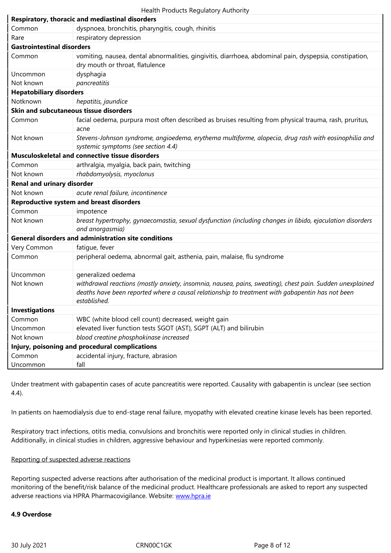| Rare                                   | respiratory depression                                                                                                                                                                                                                            |  |  |
|----------------------------------------|---------------------------------------------------------------------------------------------------------------------------------------------------------------------------------------------------------------------------------------------------|--|--|
| <b>Gastrointestinal disorders</b>      |                                                                                                                                                                                                                                                   |  |  |
| Common                                 | vomiting, nausea, dental abnormalities, gingivitis, diarrhoea, abdominal pain, dyspepsia, constipation,<br>dry mouth or throat, flatulence                                                                                                        |  |  |
| Uncommon                               | dysphagia                                                                                                                                                                                                                                         |  |  |
| Not known                              | pancreatitis                                                                                                                                                                                                                                      |  |  |
| <b>Hepatobiliary disorders</b>         |                                                                                                                                                                                                                                                   |  |  |
| Notknown                               | hepatitis, jaundice                                                                                                                                                                                                                               |  |  |
| Skin and subcutaneous tissue disorders |                                                                                                                                                                                                                                                   |  |  |
| Common                                 | facial oedema, purpura most often described as bruises resulting from physical trauma, rash, pruritus,<br>acne                                                                                                                                    |  |  |
| Not known                              | Stevens-Johnson syndrome, angioedema, erythema multiforme, alopecia, drug rash with eosinophilia and<br>systemic symptoms (see section 4.4)                                                                                                       |  |  |
|                                        | Musculoskeletal and connective tissue disorders                                                                                                                                                                                                   |  |  |
| Common                                 | arthralgia, myalgia, back pain, twitching                                                                                                                                                                                                         |  |  |
| Not known                              | rhabdomyolysis, myoclonus                                                                                                                                                                                                                         |  |  |
| <b>Renal and urinary disorder</b>      |                                                                                                                                                                                                                                                   |  |  |
| Not known                              | acute renal failure, incontinence                                                                                                                                                                                                                 |  |  |
|                                        | <b>Reproductive system and breast disorders</b>                                                                                                                                                                                                   |  |  |
| Common                                 | impotence                                                                                                                                                                                                                                         |  |  |
| Not known                              | breast hypertrophy, gynaecomastia, sexual dysfunction (including changes in libido, ejaculation disorders<br>and anorgasmia)                                                                                                                      |  |  |
|                                        | <b>General disorders and administration site conditions</b>                                                                                                                                                                                       |  |  |
| Very Common                            | fatique, fever                                                                                                                                                                                                                                    |  |  |
| Common                                 | peripheral oedema, abnormal gait, asthenia, pain, malaise, flu syndrome                                                                                                                                                                           |  |  |
| Uncommon<br>Not known                  | generalized oedema<br>withdrawal reactions (mostly anxiety, insomnia, nausea, pains, sweating), chest pain. Sudden unexplained<br>deaths have been reported where a causal relationship to treatment with gabapentin has not been<br>established. |  |  |
| <b>Investigations</b>                  |                                                                                                                                                                                                                                                   |  |  |
| Common                                 | WBC (white blood cell count) decreased, weight gain                                                                                                                                                                                               |  |  |
| Uncommon                               | elevated liver function tests SGOT (AST), SGPT (ALT) and bilirubin                                                                                                                                                                                |  |  |
| Not known                              | blood creatine phosphokinase increased                                                                                                                                                                                                            |  |  |
|                                        | Injury, poisoning and procedural complications                                                                                                                                                                                                    |  |  |
| Common                                 | accidental injury, fracture, abrasion                                                                                                                                                                                                             |  |  |
| Uncommon                               | fall                                                                                                                                                                                                                                              |  |  |

Under treatment with gabapentin cases of acute pancreatitis were reported. Causality with gabapentin is unclear (see section 4.4).

In patients on haemodialysis due to end-stage renal failure, myopathy with elevated creatine kinase levels has been reported.

Respiratory tract infections, otitis media, convulsions and bronchitis were reported only in clinical studies in children. Additionally, in clinical studies in children, aggressive behaviour and hyperkinesias were reported commonly.

#### Reporting of suspected adverse reactions

Reporting suspected adverse reactions after authorisation of the medicinal product is important. It allows continued monitoring of the benefit/risk balance of the medicinal product. Healthcare professionals are asked to report any suspected adverse reactions via HPRA Pharmacovigilance. Website: www.hpra.ie

#### **4.9 Overdose**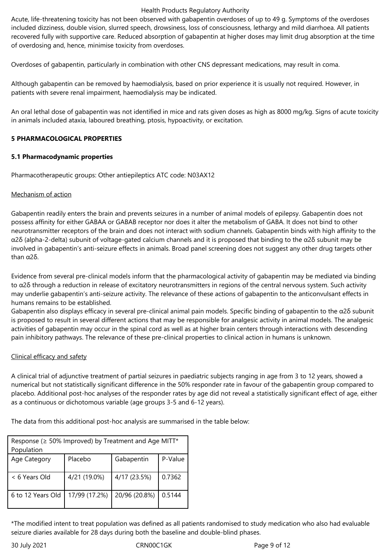Acute, life-threatening toxicity has not been observed with gabapentin overdoses of up to 49 g. Symptoms of the overdoses included dizziness, double vision, slurred speech, drowsiness, loss of consciousness, lethargy and mild diarrhoea. All patients recovered fully with supportive care. Reduced absorption of gabapentin at higher doses may limit drug absorption at the time of overdosing and, hence, minimise toxicity from overdoses.

Overdoses of gabapentin, particularly in combination with other CNS depressant medications, may result in coma.

Although gabapentin can be removed by haemodialysis, based on prior experience it is usually not required. However, in patients with severe renal impairment, haemodialysis may be indicated.

An oral lethal dose of gabapentin was not identified in mice and rats given doses as high as 8000 mg/kg. Signs of acute toxicity in animals included ataxia, laboured breathing, ptosis, hypoactivity, or excitation.

#### **5 PHARMACOLOGICAL PROPERTIES**

#### **5.1 Pharmacodynamic properties**

Pharmacotherapeutic groups: Other antiepileptics ATC code: N03AX12

#### Mechanism of action

Gabapentin readily enters the brain and prevents seizures in a number of animal models of epilepsy. Gabapentin does not possess affinity for either GABAA or GABAB receptor nor does it alter the metabolism of GABA. It does not bind to other neurotransmitter receptors of the brain and does not interact with sodium channels. Gabapentin binds with high affinity to the α2δ (alpha-2-delta) subunit of voltage-gated calcium channels and it is proposed that binding to the α2δ subunit may be involved in gabapentin's anti-seizure effects in animals. Broad panel screening does not suggest any other drug targets other than α2δ.

Evidence from several pre-clinical models inform that the pharmacological activity of gabapentin may be mediated via binding to α2δ through a reduction in release of excitatory neurotransmitters in regions of the central nervous system. Such activity may underlie gabapentin's anti-seizure activity. The relevance of these actions of gabapentin to the anticonvulsant effects in humans remains to be established.

Gabapentin also displays efficacy in several pre-clinical animal pain models. Specific binding of gabapentin to the α2δ subunit is proposed to result in several different actions that may be responsible for analgesic activity in animal models. The analgesic activities of gabapentin may occur in the spinal cord as well as at higher brain centers through interactions with descending pain inhibitory pathways. The relevance of these pre-clinical properties to clinical action in humans is unknown.

#### Clinical efficacy and safety

A clinical trial of adjunctive treatment of partial seizures in paediatric subjects ranging in age from 3 to 12 years, showed a numerical but not statistically significant difference in the 50% responder rate in favour of the gabapentin group compared to placebo. Additional post-hoc analyses of the responder rates by age did not reveal a statistically significant effect of age, either as a continuous or dichotomous variable (age groups 3-5 and 6-12 years).

The data from this additional post-hoc analysis are summarised in the table below:

| Response ( $\geq$ 50% Improved) by Treatment and Age MITT*<br>Population |               |               |         |  |
|--------------------------------------------------------------------------|---------------|---------------|---------|--|
| Age Category                                                             | Placebo       | Gabapentin    | P-Value |  |
| < 6 Years Old                                                            | 4/21 (19.0%)  | 4/17 (23.5%)  | 0.7362  |  |
| 6 to 12 Years Old                                                        | 17/99 (17.2%) | 20/96 (20.8%) | 0.5144  |  |

\*The modified intent to treat population was defined as all patients randomised to study medication who also had evaluable seizure diaries available for 28 days during both the baseline and double-blind phases.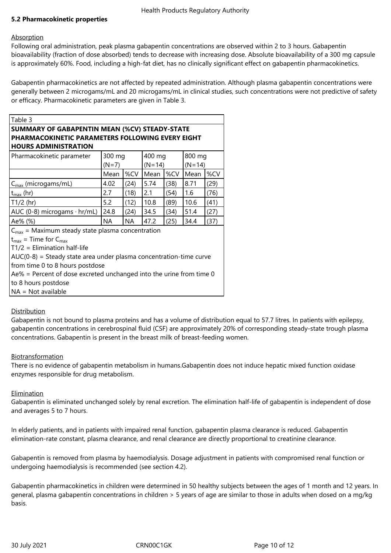# **5.2 Pharmacokinetic properties**

#### **Absorption**

Following oral administration, peak plasma gabapentin concentrations are observed within 2 to 3 hours. Gabapentin bioavailability (fraction of dose absorbed) tends to decrease with increasing dose. Absolute bioavailability of a 300 mg capsule is approximately 60%. Food, including a high-fat diet, has no clinically significant effect on gabapentin pharmacokinetics.

Gabapentin pharmacokinetics are not affected by repeated administration. Although plasma gabapentin concentrations were generally between 2 microgams/mL and 20 microgams/mL in clinical studies, such concentrations were not predictive of safety or efficacy. Pharmacokinetic parameters are given in Table 3.

| ш<br>L<br>↗ | '' |  |
|-------------|----|--|
|             |    |  |

# **SUMMARY OF GABAPENTIN MEAN (%CV) STEADY-STATE PHARMACOKINETIC PARAMETERS FOLLOWING EVERY EIGHT HOURS ADMINISTRATION**

| Pharmacokinetic parameter                                            | 300 mg    |           | 400 mg   |      | 800 mg   |      |
|----------------------------------------------------------------------|-----------|-----------|----------|------|----------|------|
|                                                                      | $(N=7)$   |           | $(N=14)$ |      | $(N=14)$ |      |
|                                                                      | Mean      | %CV       | Mean     | %CV  | Mean     | %CV  |
| $C_{\text{max}}$ (microgams/mL)                                      | 4.02      | (24)      | 5.74     | (38) | 8.71     | (29) |
| $t_{\text{max}}$ (hr)                                                | 2.7       | (18)      | 2.1      | (54) | 1.6      | (76) |
| T1/2 (hr)                                                            | 5.2       | (12)      | 10.8     | (89) | 10.6     | (41) |
| AUC (0-8) microgams $\cdot$ hr/mL)                                   | 24.8      | (24)      | 34.5     | (34) | 51.4     | (27) |
| Ae% (%)                                                              | <b>NA</b> | <b>NA</b> | 47.2     | (25) | 34.4     | (37) |
| $C_{\text{max}}$ = Maximum steady state plasma concentration         |           |           |          |      |          |      |
| $t_{\text{max}}$ = Time for $C_{\text{max}}$                         |           |           |          |      |          |      |
| $T1/2$ = Elimination half-life                                       |           |           |          |      |          |      |
| $AUC(0-8)$ = Steady state area under plasma concentration-time curve |           |           |          |      |          |      |
| from time 0 to 8 hours postdose                                      |           |           |          |      |          |      |
|                                                                      |           |           |          |      |          |      |

Ae% = Percent of dose excreted unchanged into the urine from time 0

to 8 hours postdose

 $NA = Not available$ 

# **Distribution**

Gabapentin is not bound to plasma proteins and has a volume of distribution equal to 57.7 litres. In patients with epilepsy, gabapentin concentrations in cerebrospinal fluid (CSF) are approximately 20% of corresponding steady-state trough plasma concentrations. Gabapentin is present in the breast milk of breast-feeding women.

# Biotransformation

There is no evidence of gabapentin metabolism in humans.Gabapentin does not induce hepatic mixed function oxidase enzymes responsible for drug metabolism.

#### Elimination

Gabapentin is eliminated unchanged solely by renal excretion. The elimination half-life of gabapentin is independent of dose and averages 5 to 7 hours.

In elderly patients, and in patients with impaired renal function, gabapentin plasma clearance is reduced. Gabapentin elimination-rate constant, plasma clearance, and renal clearance are directly proportional to creatinine clearance.

Gabapentin is removed from plasma by haemodialysis. Dosage adjustment in patients with compromised renal function or undergoing haemodialysis is recommended (see section 4.2).

Gabapentin pharmacokinetics in children were determined in 50 healthy subjects between the ages of 1 month and 12 years. In general, plasma gabapentin concentrations in children > 5 years of age are similar to those in adults when dosed on a mg/kg basis.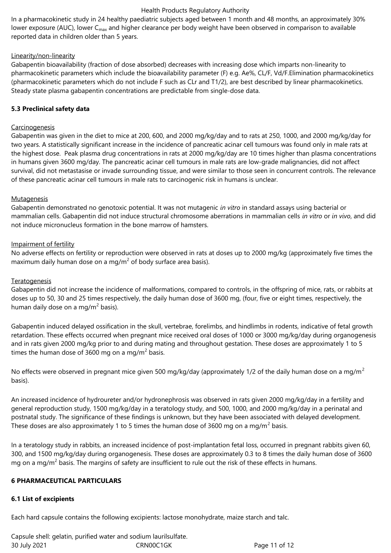In a pharmacokinetic study in 24 healthy paediatric subjects aged between 1 month and 48 months, an approximately 30% lower exposure (AUC), lower C<sub>max</sub> and higher clearance per body weight have been observed in comparison to available reported data in children older than 5 years.

# Linearity/non-linearity

Gabapentin bioavailability (fraction of dose absorbed) decreases with increasing dose which imparts non-linearity to pharmacokinetic parameters which include the bioavailability parameter (F) e.g. Ae%, CL/F, Vd/F.Elimination pharmacokinetics (pharmacokinetic parameters which do not include F such as CLr and T1/2), are best described by linear pharmacokinetics. Steady state plasma gabapentin concentrations are predictable from single-dose data.

# **5.3 Preclinical safety data**

#### **Carcinogenesis**

Gabapentin was given in the diet to mice at 200, 600, and 2000 mg/kg/day and to rats at 250, 1000, and 2000 mg/kg/day for two years. A statistically significant increase in the incidence of pancreatic acinar cell tumours was found only in male rats at the highest dose. Peak plasma drug concentrations in rats at 2000 mg/kg/day are 10 times higher than plasma concentrations in humans given 3600 mg/day. The pancreatic acinar cell tumours in male rats are low-grade malignancies, did not affect survival, did not metastasise or invade surrounding tissue, and were similar to those seen in concurrent controls. The relevance of these pancreatic acinar cell tumours in male rats to carcinogenic risk in humans is unclear.

#### Mutagenesis

Gabapentin demonstrated no genotoxic potential. It was not mutagenic *in vitro* in standard assays using bacterial or mammalian cells. Gabapentin did not induce structural chromosome aberrations in mammalian cells *in vitro* or *in vivo*, and did not induce micronucleus formation in the bone marrow of hamsters.

#### Impairment of fertility

No adverse effects on fertility or reproduction were observed in rats at doses up to 2000 mg/kg (approximately five times the maximum daily human dose on a mg/m<sup>2</sup> of body surface area basis).

#### **Teratogenesis**

Gabapentin did not increase the incidence of malformations, compared to controls, in the offspring of mice, rats, or rabbits at doses up to 50, 30 and 25 times respectively, the daily human dose of 3600 mg, (four, five or eight times, respectively, the human daily dose on a mg/m<sup>2</sup> basis).

Gabapentin induced delayed ossification in the skull, vertebrae, forelimbs, and hindlimbs in rodents, indicative of fetal growth retardation. These effects occurred when pregnant mice received oral doses of 1000 or 3000 mg/kg/day during organogenesis and in rats given 2000 mg/kg prior to and during mating and throughout gestation. These doses are approximately 1 to 5 times the human dose of 3600 mg on a mg/m<sup>2</sup> basis.

No effects were observed in pregnant mice given 500 mg/kg/day (approximately 1/2 of the daily human dose on a mg/m<sup>2</sup> basis).

An increased incidence of hydroureter and/or hydronephrosis was observed in rats given 2000 mg/kg/day in a fertility and general reproduction study, 1500 mg/kg/day in a teratology study, and 500, 1000, and 2000 mg/kg/day in a perinatal and postnatal study. The significance of these findings is unknown, but they have been associated with delayed development. These doses are also approximately 1 to 5 times the human dose of 3600 mg on a mg/m<sup>2</sup> basis.

In a teratology study in rabbits, an increased incidence of post-implantation fetal loss, occurred in pregnant rabbits given 60, 300, and 1500 mg/kg/day during organogenesis. These doses are approximately 0.3 to 8 times the daily human dose of 3600 mg on a mg/m<sup>2</sup> basis. The margins of safety are insufficient to rule out the risk of these effects in humans.

#### **6 PHARMACEUTICAL PARTICULARS**

#### **6.1 List of excipients**

Each hard capsule contains the following excipients: lactose monohydrate, maize starch and talc.

30 July 2021 CRN00C1GK Page 11 of 12 Capsule shell: gelatin, purified water and sodium laurilsulfate.